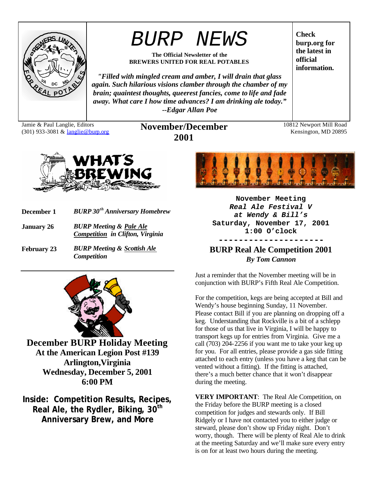

*BURP NEWS*

**The Official Newsletter of the BREWERS UNITED FOR REAL POTABLES**

*"Filled with mingled cream and amber, I will drain that glass again. Such hilarious visions clamber through the chamber of my brain; quaintest thoughts, queerest fancies, come to life and fade away. What care I how time advances? I am drinking ale today." --Edgar Allan Poe*

Jamie & Paul Langlie, Editors (301) 933-3081 & langlie@burp.org

### **November/December 2001**

10812 Newport Mill Road Kensington, MD 20895

**Check** 

**burp.org for the latest in official information.**



- **December 1** *BURP 30th Anniversary Homebrew*
- **January 26** *BURP Meeting & Pale Ale Competition in Clifton, Virginia*
- **February 23** *BURP Meeting & Scottish Ale Competition*



**December BURP Holiday Meeting At the American Legion Post #139 Arlington,Virginia Wednesday, December 5, 2001 6:00 PM**

**Inside: Competition Results, Recipes, Real Ale, the Rydler, Biking, 30th Anniversary Brew, and More**



**November Meeting** *Real Ale Festival V at Wendy & Bill's* **Saturday, November 17, 2001 1:00 O'clock ---------------------**

**BURP Real Ale Competition 2001** *By Tom Cannon*

Just a reminder that the November meeting will be in conjunction with BURP's Fifth Real Ale Competition.

For the competition, kegs are being accepted at Bill and Wendy's house beginning Sunday, 11 November. Please contact Bill if you are planning on dropping off a keg. Understanding that Rockville is a bit of a schlepp for those of us that live in Virginia, I will be happy to transport kegs up for entries from Virginia. Give me a call (703) 204-2256 if you want me to take your keg up for you. For all entries, please provide a gas side fitting attached to each entry (unless you have a keg that can be vented without a fitting). If the fitting is attached, there's a much better chance that it won't disappear during the meeting.

**VERY IMPORTANT:** The Real Ale Competition, on the Friday before the BURP meeting is a closed competition for judges and stewards only. If Bill Ridgely or I have not contacted you to either judge or steward, please don't show up Friday night. Don't worry, though. There will be plenty of Real Ale to drink at the meeting Saturday and we'll make sure every entry is on for at least two hours during the meeting.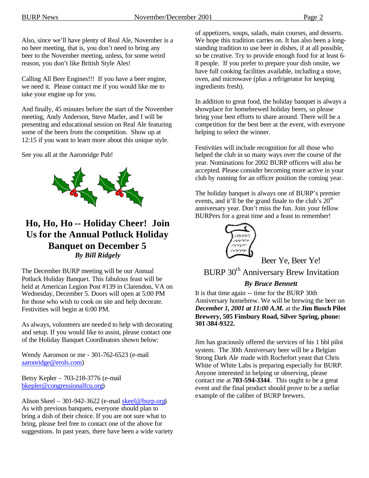Also, since we'll have plenty of Real Ale, November is a no beer meeting, that is, you don't need to bring any beer to the November meeting, unless, for some weird reason, you don't like British Style Ales!

Calling All Beer Engines!!! If you have a beer engine, we need it. Please contact me if you would like me to take your engine up for you.

And finally, 45 minutes before the start of the November meeting, Andy Anderson, Steve Marler, and I will be presenting and educational session on Real Ale featuring some of the beers from the competition. Show up at 12:15 if you want to learn more about this unique style.

See you all at the Aaronridge Pub!



# **Ho, Ho, Ho -- Holiday Cheer! Join Us for the Annual Potluck Holiday Banquet on December 5** *By Bill Ridgely*

The December BURP meeting will be our Annual Potluck Holiday Banquet. This fabulous feast will be held at American Legion Post #139 in Clarendon, VA on Wednesday, December 5. Doors will open at 5:00 PM for those who wish to cook on site and help decorate. Festivities will begin at 6:00 PM.

As always, volunteers are needed to help with decorating and setup. If you would like to assist, please contact one of the Holiday Banquet Coordinators shown below:

Wendy Aaronson or me - 301-762-6523 (e-mail aaronridge@erols.com)

Betsy Kepler – 703-218-3776 (e-mail bkepler@congressionalfcu.org)

Alison Skeel – 301-942-3622 (e-mail skeel@burp.org) As with previous banquets, everyone should plan to bring a dish of their choice. If you are not sure what to bring, please feel free to contact one of the above for suggestions. In past years, there have been a wide variety of appetizers, soups, salads, main courses, and desserts. We hope this tradition carries on. It has also been a longstanding tradition to use beer in dishes, if at all possible, so be creative. Try to provide enough food for at least 6- 8 people. If you prefer to prepare your dish onsite, we have full cooking facilities available, including a stove, oven, and microwave (plus a refrigerator for keeping ingredients fresh).

In addition to great food, the holiday banquet is always a showplace for homebrewed holiday beers, so please bring your best efforts to share around. There will be a competition for the best beer at the event, with everyone helping to select the winner.

Festivities will include recognition for all those who helped the club in so many ways over the course of the year. Nominations for 2002 BURP officers will also be accepted. Please consider becoming more active in your club by running for an officer position the coming year.

The holiday banquet is always one of BURP's premier events, and it'll be the grand finale to the club's  $20<sup>th</sup>$ anniversary year. Don't miss the fun. Join your fellow BURPers for a great time and a feast to remember!



Beer Ye, Beer Ye!

BURP 30<sup>th</sup> Anniversary Brew Invitation

#### *By Bruce Bennett*

It is that time again -- time for the BURP 30th Anniversary homebrew. We will be brewing the beer on *December 1, 2001 at 11:00 A.M.* at the **Jim Busch Pilot Brewery, 505 Finsbury Road, Silver Spring, phone: 301-384-9322.**

Jim has graciously offered the services of his 1 bbl pilot system. The 30th Anniversary beer will be a Belgian Strong Dark Ale made with Rochefort yeast that Chris White of White Labs is preparing especially for BURP. Anyone interested in helping or observing, please contact me at **703-594-3344**. This ought to be a great event and the final product should prove to be a stellar example of the caliber of BURP brewers.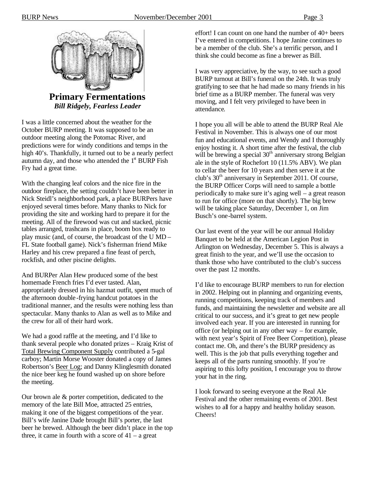

**Primary Fermentations** *Bill Ridgely, Fearless Leader*

I was a little concerned about the weather for the October BURP meeting. It was supposed to be an outdoor meeting along the Potomac River, and predictions were for windy conditions and temps in the high 40's. Thankfully, it turned out to be a nearly perfect autumn day, and those who attended the  $1<sup>st</sup> BURP$  Fish Fry had a great time.

With the changing leaf colors and the nice fire in the outdoor fireplace, the setting couldn't have been better in Nick Steidl's neighborhood park, a place BURPers have enjoyed several times before. Many thanks to Nick for providing the site and working hard to prepare it for the meeting. All of the firewood was cut and stacked, picnic tables arranged, trashcans in place, boom box ready to play music (and, of course, the broadcast of the U MD – FL State football game). Nick's fisherman friend Mike Harley and his crew prepared a fine feast of perch, rockfish, and other piscine delights.

And BURPer Alan Hew produced some of the best homemade French fries I'd ever tasted. Alan, appropriately dressed in his hazmat outfit, spent much of the afternoon double -frying handcut potatoes in the traditional manner, and the results were nothing less than spectacular. Many thanks to Alan as well as to Mike and the crew for all of their hard work.

We had a good raffle at the meeting, and I'd like to thank several people who donated prizes – Kraig Krist of Total Brewing Component Supply contributed a 5-gal carboy; Martin Morse Wooster donated a copy of James Robertson's Beer Log; and Danny Klinglesmith donated the nice beer keg he found washed up on shore before the meeting.

Our brown ale & porter competition, dedicated to the memory of the late Bill Moe, attracted 25 entries, making it one of the biggest competitions of the year. Bill's wife Janine Dade brought Bill's porter, the last beer he brewed. Although the beer didn't place in the top three, it came in fourth with a score of  $41 - a$  great

effort! I can count on one hand the number of 40+ beers I've entered in competitions. I hope Janine continues to be a member of the club. She's a terrific person, and I think she could become as fine a brewer as Bill.

I was very appreciative, by the way, to see such a good BURP turnout at Bill's funeral on the 24th. It was truly gratifying to see that he had made so many friends in his brief time as a BURP member. The funeral was very moving, and I felt very privileged to have been in attendance.

I hope you all will be able to attend the BURP Real Ale Festival in November. This is always one of our most fun and educational events, and Wendy and I thoroughly enjoy hosting it. A short time after the festival, the club will be brewing a special  $30<sup>th</sup>$  anniversary strong Belgian ale in the style of Rochefort 10 (11.5% ABV). We plan to cellar the beer for 10 years and then serve it at the club's  $30<sup>th</sup>$  anniversary in September 2011. Of course, the BURP Officer Corps will need to sample a bottle periodically to make sure it's aging well – a great reason to run for office (more on that shortly). The big brew will be taking place Saturday, December 1, on Jim Busch's one-barrel system.

Our last event of the year will be our annual Holiday Banquet to be held at the American Legion Post in Arlington on Wednesday, December 5. This is always a great finish to the year, and we'll use the occasion to thank those who have contributed to the club's success over the past 12 months.

I'd like to encourage BURP members to run for election in 2002. Helping out in planning and organizing events, running competitions, keeping track of members and funds, and maintaining the newsletter and website are all critical to our success, and it's great to get new people involved each year. If you are interested in running for office (or helping out in any other way – for example, with next year's Spirit of Free Beer Competition), please contact me. Oh, and there's the BURP presidency as well. This is the job that pulls everything together and keeps all of the parts running smoothly. If you're aspiring to this lofty position, I encourage you to throw your hat in the ring.

I look forward to seeing everyone at the Real Ale Festival and the other remaining events of 2001. Best wishes to all for a happy and healthy holiday season. Cheers!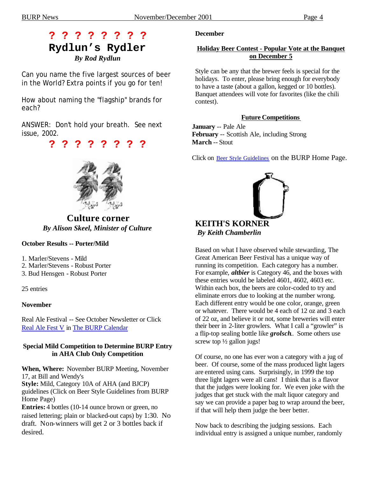# **? ? ? ? ? ? ? ? Rydlun's Rydler**

*By Rod Rydlun*

Can you name the five largest sources of beer in the World? Extra points if you go for ten!

How about naming the "flagship" brands for each?

ANSWER: Don't hold your breath. See next issue, 2002.

**? ? ? ? ? ? ? ?**



**Culture corner** *By Alison Skeel, Minister of Culture*

#### **October Results -- Porter/Mild**

1. Marler/Stevens - Mild

- 2. Marler/Stevens Robust Porter
- 3. Bud Hensgen Robust Porter

25 entries

#### **November**

Real Ale Festival -- See October Newsletter or Click Real Ale Fest V in The BURP Calendar

#### **Special Mild Competition to Determine BURP Entry in AHA Club Only Competition**

**When, Where:** November BURP Meeting, November 17, at Bill and Wendy's

**Style:** Mild, Category 10A of AHA (and BJCP) guidelines (Click on Beer Style Guidelines from BURP Home Page)

**Entries:** 4 bottles (10-14 ounce brown or green, no raised lettering; plain or blacked-out caps) by 1:30. No draft. Non-winners will get 2 or 3 bottles back if desired.

#### **December**

#### **Holiday Beer Contest - Popular Vote at the Banquet on December 5**

Style can be any that the brewer feels is special for the holidays. To enter, please bring enough for everybody to have a taste (about a gallon, kegged or 10 bottles). Banquet attendees will vote for favorites (like the chili contest).

#### **Future Competitions**

**January** -- Pale Ale **February** -- Scottish Ale, including Strong **March** -- Stout

Click on Beer Style Guidelines on the BURP Home Page.



Based on what I have observed while stewarding, The Great American Beer Festival has a unique way of running its competition. Each category has a number. For example, *altbier* is Category 46, and the boxes with these entries would be labeled 4601, 4602, 4603 etc. Within each box, the beers are color-coded to try and eliminate errors due to looking at the number wrong. Each different entry would be one color, orange, green or whatever. There would be 4 each of 12 oz and 3 each of 22 oz, and believe it or not, some breweries will enter their beer in 2-liter growlers. What I call a "growler" is a flip-top sealing bottle like *grolsch*.. Some others use screw top  $\frac{1}{2}$  gallon jugs!

Of course, no one has ever won a category with a jug of beer. Of course, some of the mass produced light lagers are entered using cans. Surprisingly, in 1999 the top three light lagers were all cans! I think that is a flavor that the judges were looking for. We even joke with the judges that get stuck with the malt liquor category and say we can provide a paper bag to wrap around the beer, if that will help them judge the beer better.

Now back to describing the judging sessions. Each individual entry is assigned a unique number, randomly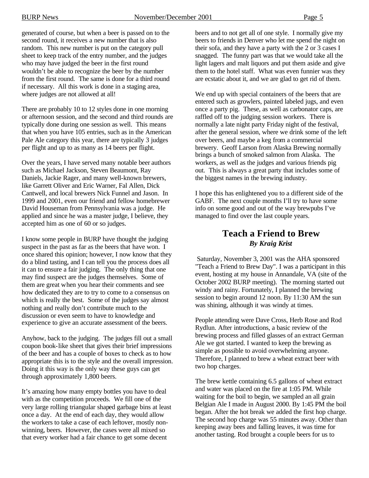generated of course, but when a beer is passed on to the second round, it receives a new number that is also random. This new number is put on the category pull sheet to keep track of the entry number, and the judges who may have judged the beer in the first round wouldn't be able to recognize the beer by the number from the first round. The same is done for a third round if necessary. All this work is done in a staging area, where judges are not allowed at all!

There are probably 10 to 12 styles done in one morning or afternoon session, and the second and third rounds are typically done during one session as well. This means that when you have 105 entries, such as in the American Pale Ale category this year, there are typically 3 judges per flight and up to as many as 14 beers per flight.

Over the years, I have served many notable beer authors such as Michael Jackson, Steven Beaumont, Ray Daniels, Jackie Rager, and many well-known brewers, like Garrett Oliver and Eric Warner, Fal Allen, Dick Cantwell, and local brewers Nick Funnel and Jason. In 1999 and 2001, even our friend and fellow homebrewer David Houseman from Pennsylvania was a judge. He applied and since he was a master judge, I believe, they accepted him as one of 60 or so judges.

I know some people in BURP have thought the judging suspect in the past as far as the beers that have won. I once shared this opinion; however, I now know that they do a blind tasting, and I can tell you the process does all it can to ensure a fair judging. The only thing that one may find suspect are the judges themselves. Some of them are great when you hear their comments and see how dedicated they are to try to come to a consensus on which is really the best. Some of the judges say almost nothing and really don't contribute much to the discussion or even seem to have to knowledge and experience to give an accurate assessment of the beers.

Anyhow, back to the judging. The judges fill out a small coupon book-like sheet that gives their brief impressions of the beer and has a couple of boxes to check as to how appropriate this is to the style and the overall impression. Doing it this way is the only way these guys can get through approximately 1,800 beers.

It's amazing how many empty bottles you have to deal with as the competition proceeds. We fill one of the very large rolling triangular shaped garbage bins at least once a day. At the end of each day, they would allow the workers to take a case of each leftover, mostly nonwinning, beers. However, the cases were all mixed so that every worker had a fair chance to get some decent

beers and to not get all of one style. I normally give my beers to friends in Denver who let me spend the night on their sofa, and they have a party with the 2 or 3 cases I snagged. The funny part was that we would take all the light lagers and malt liquors and put them aside and give them to the hotel staff. What was even funnier was they are ecstatic about it, and we are glad to get rid of them.

We end up with special containers of the beers that are entered such as growlers, painted labeled jugs, and even once a party pig. These, as well as carbonator caps, are raffled off to the judging session workers. There is normally a late night party Friday night of the festival, after the general session, where we drink some of the left over beers, and maybe a keg from a commercial brewery. Geoff Larson from Alaska Brewing normally brings a bunch of smoked salmon from Alaska. The workers, as well as the judges and various friends pig out. This is always a great party that includes some of the biggest names in the brewing industry.

I hope this has enlightened you to a different side of the GABF. The next couple months I'll try to have some info on some good and out of the way brewpubs I've managed to find over the last couple years.

### **Teach a Friend to Brew** *By Kraig Krist*

 Saturday, November 3, 2001 was the AHA sponsored "Teach a Friend to Brew Day". I was a participant in this event, hosting at my house in Annandale, VA (site of the October 2002 BURP meeting). The morning started out windy and rainy. Fortunately, I planned the brewing session to begin around 12 noon. By 11:30 AM the sun was shining, although it was windy at times.

People attending were Dave Cross, Herb Rose and Rod Rydlun. After introductions, a basic review of the brewing process and filled glasses of an extract German Ale we got started. I wanted to keep the brewing as simple as possible to avoid overwhelming anyone. Therefore, I planned to brew a wheat extract beer with two hop charges.

The brew kettle containing 6.5 gallons of wheat extract and water was placed on the fire at 1:05 PM. While waiting for the boil to begin, we sampled an all grain Belgian Ale I made in August 2000. By 1:45 PM the boil began. After the hot break we added the first hop charge. The second hop charge was 55 minutes away. Other than keeping away bees and falling leaves, it was time for another tasting. Rod brought a couple beers for us to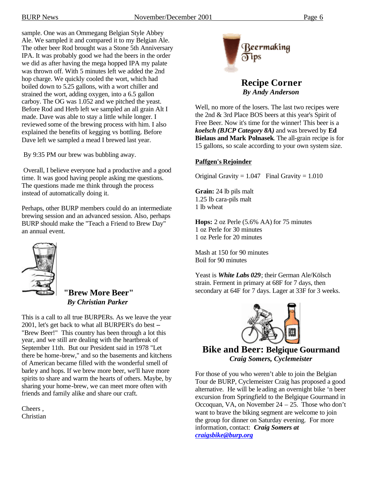sample. One was an Ommegang Belgian Style Abbey Ale. We sampled it and compared it to my Belgian Ale. The other beer Rod brought was a Stone 5th Anniversary IPA. It was probably good we had the beers in the order we did as after having the mega hopped IPA my palate was thrown off. With 5 minutes left we added the 2nd hop charge. We quickly cooled the wort, which had boiled down to 5.25 gallons, with a wort chiller and strained the wort, adding oxygen, into a 6.5 gallon carboy. The OG was 1.052 and we pitched the yeast. Before Rod and Herb left we sampled an all grain Alt I made. Dave was able to stay a little while longer. I reviewed some of the brewing process with him. I also explained the benefits of kegging vs bottling. Before Dave left we sampled a mead I brewed last year.

By 9:35 PM our brew was bubbling away.

 Overall, I believe everyone had a productive and a good time. It was good having people asking me questions. The questions made me think through the process instead of automatically doing it.

Perhaps, other BURP members could do an intermediate brewing session and an advanced session. Also, perhaps BURP should make the "Teach a Friend to Brew Day" an annual event.



### **"Brew More Beer"**  *By Christian Parker*

This is a call to all true BURPERs. As we leave the year 2001, let's get back to what all BURPER's do best --"Brew Beer!" This country has been through a lot this year, and we still are dealing with the heartbreak of September 11th. But our President said in 1978 "Let there be home-brew," and so the basements and kitchens of American became filled with the wonderful smell of barley and hops. If we brew more beer, we'll have more spirits to share and warm the hearts of others. Maybe, by sharing your home-brew, we can meet more often with friends and family alike and share our craft.

Cheers , Christian



**Recipe Corner** *By Andy Anderson*

Well, no more of the losers. The last two recipes were the 2nd & 3rd Place BOS beers at this year's Spirit of Free Beer. Now it's time for the winner! This beer is a *koelsch (BJCP Category 8A)* and was brewed by **Ed Bielaus and Mark Polnasek**. The all-grain recipe is for 15 gallons, so scale according to your own system size.

#### **Paffgen's Rejoinder**

Original Gravity =  $1.047$  Final Gravity =  $1.010$ 

**Grain:** 24 lb pils malt 1.25 lb cara-pils malt 1 lb wheat

**Hops:** 2 oz Perle (5.6% AA) for 75 minutes 1 oz Perle for 30 minutes 1 oz Perle for 20 minutes

Mash at 150 for 90 minutes Boil for 90 minutes

Yeast is *White Labs 029*; their German Ale/Kölsch strain. Ferment in primary at 68F for 7 days, then secondary at 64F for 7 days. Lager at 33F for 3 weeks.



### **Bike and Beer: Belgique Gourmand**  *Craig Somers, Cyclemeister*

For those of you who weren't able to join the Belgian Tour de BURP, Cyclemeister Craig has proposed a good alternative. He will be le ading an overnight bike 'n beer excursion from Springfield to the Belgique Gourmand in Occoquan, VA, on November 24 – 25. Those who don't want to brave the biking segment are welcome to join the group for dinner on Saturday evening. For more information, contact: *Craig Somers at craigsbike@burp.org*